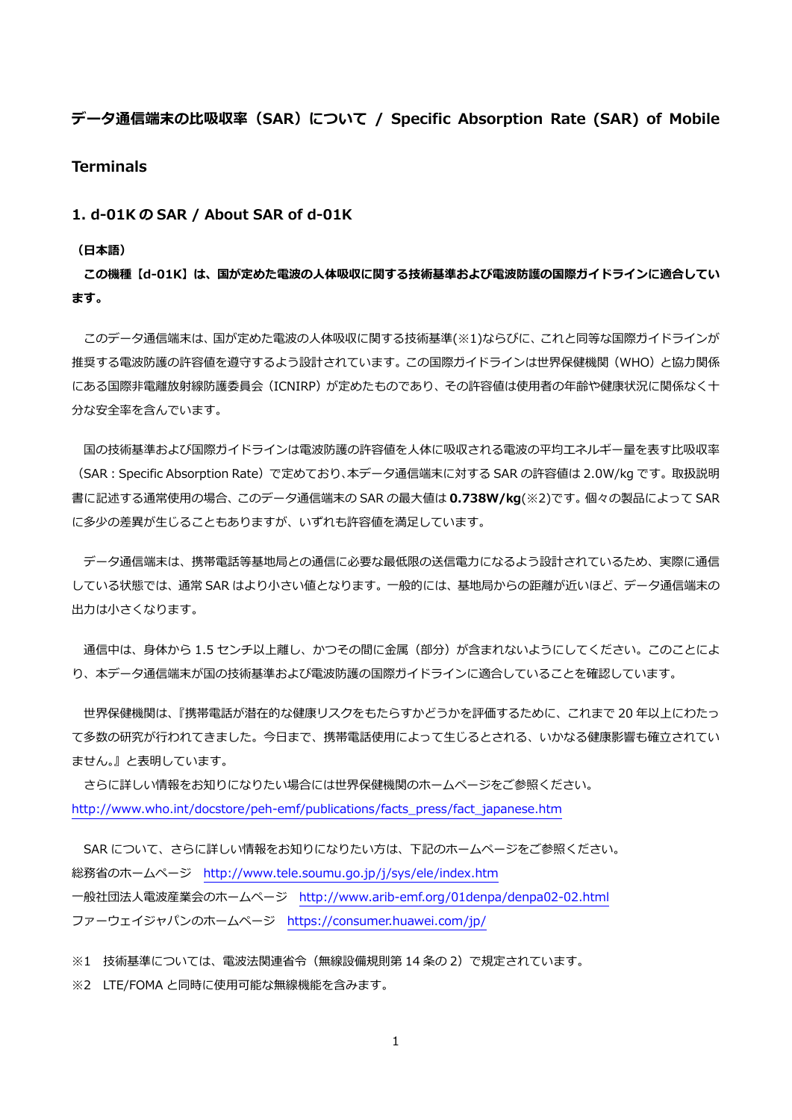**データ通信端末の⽐吸収率(SAR)について / Specific Absorption Rate (SAR) of Mobile Terminals** 

**1. d-01K の SAR / About SAR of d-01K** 

## **(⽇本語)**

**この機種【d-01K】は、国が定めた電波の⼈体吸収に関する技術基準および電波防護の国際ガイドラインに適合してい ます。** 

 このデータ通信端末は、国が定めた電波の⼈体吸収に関する技術基準(※1)ならびに、これと同等な国際ガイドラインが 推奨する電波防護の許容値を遵守するよう設計されています。この国際ガイドラインは世界保健機関(WHO)と協力関係 にある国際非電離放射線防護委員会(ICNIRP)が定めたものであり、その許容値は使用者の年齢や健康状況に関係なく十 分な安全率を含んでいます。

国の技術基準および国際ガイドラインは電波防護の許容値を人体に吸収される電波の平均エネルギー量を表す比吸収率 (SAR:Specific Absorption Rate)で定めており、本データ通信端末に対する SAR の許容値は 2.0W/kg です。取扱説明 書に記述する通常使⽤の場合、このデータ通信端末の SAR の最⼤値は **0.738W/kg**(※2)です。個々の製品によって SAR に多少の差異が生じることもありますが、いずれも許容値を満足しています。

 データ通信端末は、携帯電話等基地局との通信に必要な最低限の送信電⼒になるよう設計されているため、実際に通信 している状態では、通常 SAR はより⼩さい値となります。⼀般的には、基地局からの距離が近いほど、データ通信端末の 出力は小さくなります。

通信中は、身体から 1.5 センチ以上離し、かつその間に金属 (部分) が含まれないようにしてください。このことによ り、本データ通信端末が国の技術基準および電波防護の国際ガイドラインに適合していることを確認しています。

 世界保健機関は、『携帯電話が潜在的な健康リスクをもたらすかどうかを評価するために、これまで 20 年以上にわたっ て多数の研究が行われてきました。今日まで、携帯電話使用によって生じるとされる、いかなる健康影響も確立されてい ません。』と表明しています。

 さらに詳しい情報をお知りになりたい場合には世界保健機関のホームページをご参照ください。 http://www.who.int/docstore/peh-emf/publications/facts\_press/fact\_japanese.htm

SAR について、さらに詳しい情報をお知りになりたい方は、下記のホームページをご参照ください。 総務省のホームページ http://www.tele.soumu.go.jp/j/sys/ele/index.htm ⼀般社団法⼈電波産業会のホームページ http://www.arib-emf.org/01denpa/denpa02-02.html ファーウェイジャパンのホームページ https://consumer.huawei.com/jp/

※1 技術基準については、電波法関連省令(無線設備規則第 14 条の 2)で規定されています。

※2 LTE/FOMA と同時に使用可能な無線機能を含みます。